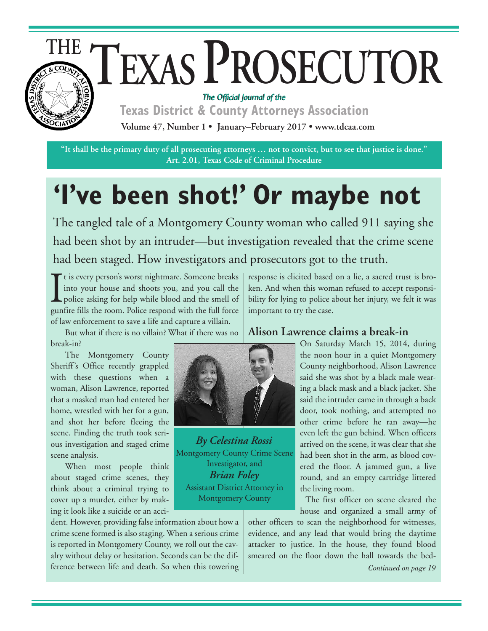

# TEXAS PROSECUTOR *The Official Journal of the*

**Texas District & County Attorneys Association Volume 47, Number 1 • January–February 2017 • www.tdcaa.com**

"It shall be the primary duty of all prosecuting attorneys ... not to convict, but to see that justice is done." **Art. 2.01, Texas Code of Criminal Procedure**

# **'I've been shot!' Or maybe not**

The tangled tale of a Montgomery County woman who called 911 saying she had been shot by an intruder—but investigation revealed that the crime scene had been staged. How investigators and prosecutors got to the truth.

If the very person's worst nightmare. Someone breaks<br>into your house and shoots you, and you call the<br>police asking for help while blood and the smell of<br>gunfire fills the room. Police respond with the full force I t is every person's worst nightmare. Someone breaks into your house and shoots you, and you call the police asking for help while blood and the smell of of law enforcement to save a life and capture a villain.

 But what if there is no villain? What if there was no break-in?

 The Montgomery County Sheriff's Office recently grappled with these questions when a woman, Alison Lawrence, reported that a masked man had entered her home, wrestled with her for a gun, and shot her before fleeing the scene. Finding the truth took serious investigation and staged crime scene analysis.

 When most people think about staged crime scenes, they think about a criminal trying to cover up a murder, either by making it look like a suicide or an acci-

dent. However, providing false information about how a crime scene formed is also staging. When a serious crime is reported in Montgomery County, we roll out the cavalry without delay or hesitation. Seconds can be the difference between life and death. So when this towering response is elicited based on a lie, a sacred trust is broken. And when this woman refused to accept responsibility for lying to police about her injury, we felt it was important to try the case.

## **Alison Lawrence claims a break-in**

On Saturday March 15, 2014, during the noon hour in a quiet Montgomery County neighborhood, Alison Lawrence said she was shot by a black male wearing a black mask and a black jacket. She said the intruder came in through a back door, took nothing, and attempted no other crime before he ran away—he even left the gun behind. When officers arrived on the scene, it was clear that she had been shot in the arm, as blood covered the floor. A jammed gun, a live round, and an empty cartridge littered the living room.

 The first officer on scene cleared the house and organized a small army of

other officers to scan the neighborhood for witnesses, evidence, and any lead that would bring the daytime attacker to justice. In the house, they found blood smeared on the floor down the hall towards the bed-

*Continued on page 19*



*By Celestina Rossi* Montgomery County Crime Scene Investigator, and *Brian Foley* Assistant District Attorney in Montgomery County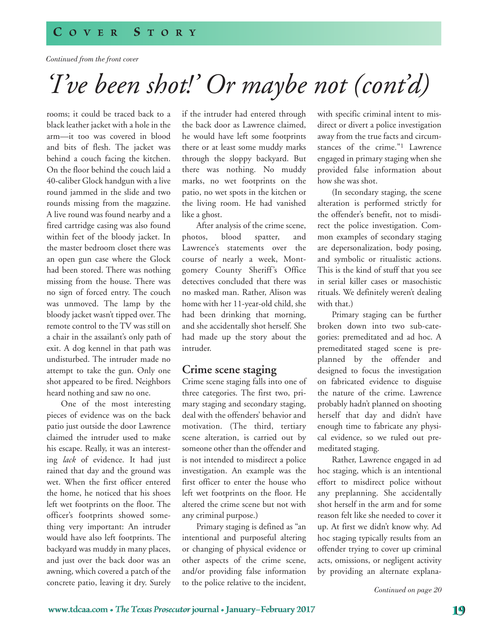*Continued from the front cover*

## *'I' ve been shot!' Or maybe not (cont'd)*

rooms; it could be traced back to a black leather jacket with a hole in the arm—it too was covered in blood and bits of flesh. The jacket was behind a couch facing the kitchen. On the floor behind the couch laid a 40-caliber Glock handgun with a live round jammed in the slide and two rounds missing from the magazine. A live round was found nearby and a fired cartridge casing was also found within feet of the bloody jacket. In the master bedroom closet there was an open gun case where the Glock had been stored. There was nothing missing from the house. There was no sign of forced entry. The couch was unmoved. The lamp by the bloody jacket wasn't tipped over. The remote control to the TV was still on a chair in the assailant's only path of exit. A dog kennel in that path was undisturbed. The intruder made no attempt to take the gun. Only one shot appeared to be fired. Neighbors heard nothing and saw no one.

 One of the most interesting pieces of evidence was on the back patio just outside the door Lawrence claimed the intruder used to make his escape. Really, it was an interesting *lack* of evidence. It had just rained that day and the ground was wet. When the first officer entered the home, he noticed that his shoes left wet footprints on the floor. The officer's footprints showed something very important: An intruder would have also left footprints. The backyard was muddy in many places, and just over the back door was an awning, which covered a patch of the concrete patio, leaving it dry. Surely

if the intruder had entered through the back door as Lawrence claimed, he would have left some footprints there or at least some muddy marks through the sloppy backyard. But there was nothing. No muddy marks, no wet footprints on the patio, no wet spots in the kitchen or the living room. He had vanished like a ghost.

 After analysis of the crime scene, photos, blood spatter, and Lawrence's statements over the course of nearly a week, Montgomery County Sheriff's Office detectives concluded that there was no masked man. Rather, Alison was home with her 11-year-old child, she had been drinking that morning, and she accidentally shot herself. She had made up the story about the intruder.

#### **Crime scene staging**

Crime scene staging falls into one of three categories. The first two, primary staging and secondary staging, deal with the offenders' behavior and motivation. (The third, tertiary scene alteration, is carried out by someone other than the offender and is not intended to misdirect a police investigation. An example was the first officer to enter the house who left wet footprints on the floor. He altered the crime scene but not with any criminal purpose.)

 Primary staging is defined as "an intentional and purposeful altering or changing of physical evidence or other aspects of the crime scene, and/or providing false information to the police relative to the incident,

with specific criminal intent to misdirect or divert a police investigation away from the true facts and circumstances of the crime."1 Lawrence engaged in primary staging when she provided false information about how she was shot.

 (In secondary staging, the scene alteration is performed strictly for the offender's benefit, not to misdirect the police investigation. Common examples of secondary staging are depersonalization, body posing, and symbolic or ritualistic actions. This is the kind of stuff that you see in serial killer cases or masochistic rituals. We definitely weren't dealing with that.)

 Primary staging can be further broken down into two sub-categories: premeditated and ad hoc. A premeditated staged scene is preplanned by the offender and designed to focus the investigation on fabricated evidence to disguise the nature of the crime. Lawrence probably hadn't planned on shooting herself that day and didn't have enough time to fabricate any physical evidence, so we ruled out premeditated staging.

 Rather, Lawrence engaged in ad hoc staging, which is an intentional effort to misdirect police without any preplanning. She accidentally shot herself in the arm and for some reason felt like she needed to cover it up. At first we didn't know why. Ad hoc staging typically results from an offender trying to cover up criminal acts, omissions, or negligent activity by providing an alternate explana-

*Continued on page 20*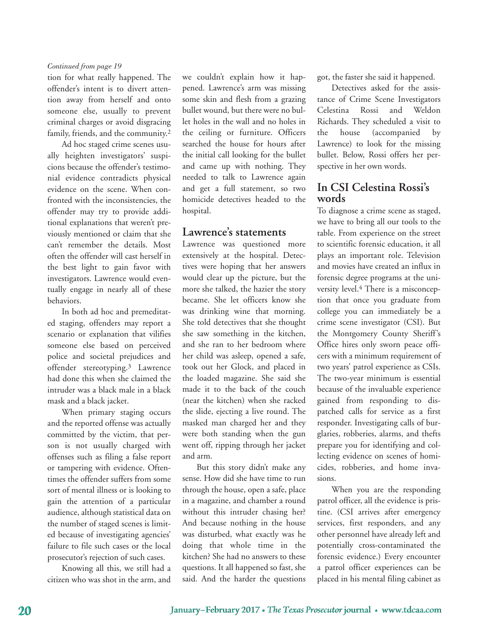#### *Continued from page 19*

tion for what really happened. The offender's intent is to divert attention away from herself and onto someone else, usually to prevent criminal charges or avoid disgracing family, friends, and the community.2

 Ad hoc staged crime scenes usually heighten investigators' suspicions because the offender's testimonial evidence contradicts physical evidence on the scene. When confronted with the inconsistencies, the offender may try to provide additional explanations that weren't previously mentioned or claim that she can't remember the details. Most often the offender will cast herself in the best light to gain favor with investigators. Lawrence would eventually engage in nearly all of these behaviors.

 In both ad hoc and premeditated staging, offenders may report a scenario or explanation that vilifies someone else based on perceived police and societal prejudices and offender stereotyping.3 Lawrence had done this when she claimed the intruder was a black male in a black mask and a black jacket.

 When primary staging occurs and the reported offense was actually committed by the victim, that person is not usually charged with offenses such as filing a false report or tampering with evidence. Oftentimes the offender suffers from some sort of mental illness or is looking to gain the attention of a particular audience, although statistical data on the number of staged scenes is limited because of investigating agencies' failure to file such cases or the local prosecutor's rejection of such cases.

 Knowing all this, we still had a citizen who was shot in the arm, and

we couldn't explain how it happened. Lawrence's arm was missing some skin and flesh from a grazing bullet wound, but there were no bullet holes in the wall and no holes in the ceiling or furniture. Officers searched the house for hours after the initial call looking for the bullet and came up with nothing. They needed to talk to Lawrence again and get a full statement, so two homicide detectives headed to the hospital.

#### **Lawrence's statements**

Lawrence was questioned more extensively at the hospital. Detectives were hoping that her answers would clear up the picture, but the more she talked, the hazier the story became. She let officers know she was drinking wine that morning. She told detectives that she thought she saw something in the kitchen, and she ran to her bedroom where her child was asleep, opened a safe, took out her Glock, and placed in the loaded magazine. She said she made it to the back of the couch (near the kitchen) when she racked the slide, ejecting a live round. The masked man charged her and they were both standing when the gun went off, ripping through her jacket and arm.

 But this story didn't make any sense. How did she have time to run through the house, open a safe, place in a magazine, and chamber a round without this intruder chasing her? And because nothing in the house was disturbed, what exactly was he doing that whole time in the kitchen? She had no answers to these questions. It all happened so fast, she said. And the harder the questions

got, the faster she said it happened.

 Detectives asked for the assistance of Crime Scene Investigators Celestina Rossi and Weldon Richards. They scheduled a visit to the house (accompanied by Lawrence) to look for the missing bullet. Below, Rossi offers her perspective in her own words.

## **In CSI Celestina Rossi's words**

To diagnose a crime scene as staged, we have to bring all our tools to the table. From experience on the street to scientific forensic education, it all plays an important role. Television and movies have created an influx in forensic degree programs at the university level.4 There is a misconception that once you graduate from college you can immediately be a crime scene investigator (CSI). But the Montgomery County Sheriff's Office hires only sworn peace officers with a minimum requirement of two years' patrol experience as CSIs. The two-year minimum is essential because of the invaluable experience gained from responding to dispatched calls for service as a first responder. Investigating calls of burglaries, robberies, alarms, and thefts prepare you for identifying and collecting evidence on scenes of homicides, robberies, and home invasions.

 When you are the responding patrol officer, all the evidence is pristine. (CSI arrives after emergency services, first responders, and any other personnel have already left and potentially cross-contaminated the forensic evidence.) Every encounter a patrol officer experiences can be placed in his mental filing cabinet as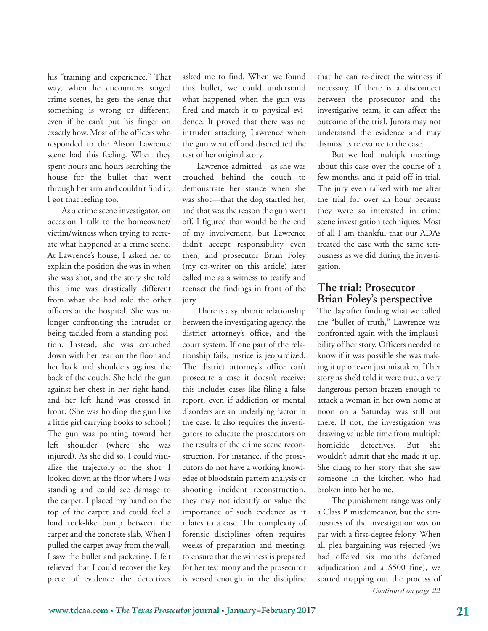his "training and experience." That way, when he encounters staged crime scenes, he gets the sense that something is wrong or different, even if he can't put his finger on exactly how. Most of the officers who responded to the Alison Lawrence scene had this feeling. When they spent hours and hours searching the house for the bullet that went through her arm and couldn't find it, I got that feeling too.

 As a crime scene investigator, on occasion I talk to the homeowner/ victim/witness when trying to recreate what happened at a crime scene. At Lawrence's house, I asked her to explain the position she was in when she was shot, and the story she told this time was drastically different from what she had told the other officers at the hospital. She was no longer confronting the intruder or being tackled from a standing position. Instead, she was crouched down with her rear on the floor and her back and shoulders against the back of the couch. She held the gun against her chest in her right hand, and her left hand was crossed in front. (She was holding the gun like a little girl carrying books to school.) The gun was pointing toward her left shoulder (where she was injured). As she did so, I could visualize the trajectory of the shot. I looked down at the floor where I was standing and could see damage to the carpet. I placed my hand on the top of the carpet and could feel a hard rock-like bump between the carpet and the concrete slab. When I pulled the carpet away from the wall, I saw the bullet and jacketing. I felt relieved that I could recover the key piece of evidence the detectives

asked me to find. When we found this bullet, we could understand what happened when the gun was fired and match it to physical evidence. It proved that there was no intruder attacking Lawrence when the gun went off and discredited the rest of her original story.

 Lawrence admitted—as she was crouched behind the couch to demonstrate her stance when she was shot—that the dog startled her, and that was the reason the gun went off. I figured that would be the end of my involvement, but Lawrence didn't accept responsibility even then, and prosecutor Brian Foley (my co-writer on this article) later called me as a witness to testify and reenact the findings in front of the jury.

 There is a symbiotic relationship between the investigating agency, the district attorney's office, and the court system. If one part of the relationship fails, justice is jeopardized. The district attorney's office can't prosecute a case it doesn't receive; this includes cases like filing a false report, even if addiction or mental disorders are an underlying factor in the case. It also requires the investigators to educate the prosecutors on the results of the crime scene reconstruction. For instance, if the prosecutors do not have a working knowledge of bloodstain pattern analysis or shooting incident reconstruction, they may not identify or value the importance of such evidence as it relates to a case. The complexity of forensic disciplines often requires weeks of preparation and meetings to ensure that the witness is prepared for her testimony and the prosecutor is versed enough in the discipline

that he can re-direct the witness if necessary. If there is a disconnect between the prosecutor and the investigative team, it can affect the outcome of the trial. Jurors may not understand the evidence and may dismiss its relevance to the case.

 But we had multiple meetings about this case over the course of a few months, and it paid off in trial. The jury even talked with me after the trial for over an hour because they were so interested in crime scene investigation techniques. Most of all I am thankful that our ADAs treated the case with the same seriousness as we did during the investigation.

#### **The trial: Prosecutor Brian Foley's perspective**

The day after finding what we called the "bullet of truth," Lawrence was confronted again with the implausibility of her story. Officers needed to know if it was possible she was making it up or even just mistaken. If her story as she'd told it were true, a very dangerous person brazen enough to attack a woman in her own home at noon on a Saturday was still out there. If not, the investigation was drawing valuable time from multiple homicide detectives. But she wouldn't admit that she made it up. She clung to her story that she saw someone in the kitchen who had broken into her home.

 The punishment range was only a Class B misdemeanor, but the seriousness of the investigation was on par with a first-degree felony. When all plea bargaining was rejected (we had offered six months deferred adjudication and a \$500 fine), we started mapping out the process of *Continued on page 22*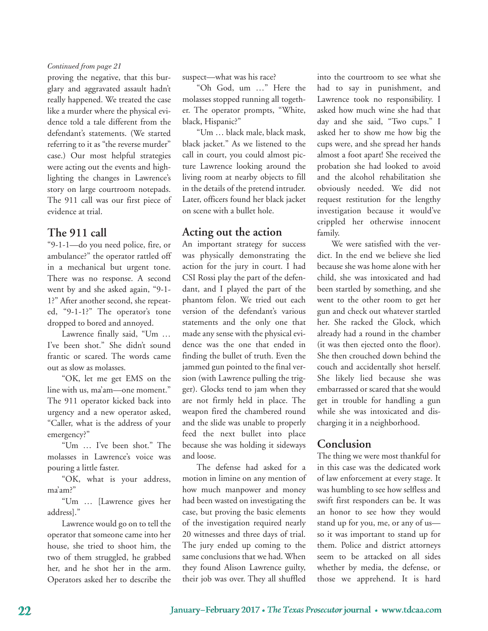#### *Continued from page 21*

proving the negative, that this burglary and aggravated assault hadn't really happened. We treated the case like a murder where the physical evidence told a tale different from the defendant's statements. (We started referring to it as "the reverse murder" case.) Our most helpful strategies were acting out the events and highlighting the changes in Lawrence's story on large courtroom notepads. The 911 call was our first piece of evidence at trial.

### **The 911 call**

"9-1-1—do you need police, fire, or ambulance?" the operator rattled off in a mechanical but urgent tone. There was no response. A second went by and she asked again, "9-1- 1?" After another second, she repeated, "9-1-1?" The operator's tone dropped to bored and annoyed.

 Lawrence finally said, "Um … I've been shot." She didn't sound frantic or scared. The words came out as slow as molasses.

 "OK, let me get EMS on the line with us, ma'am—one moment." The 911 operator kicked back into urgency and a new operator asked, "Caller, what is the address of your emergency?"

 "Um … I've been shot." The molasses in Lawrence's voice was pouring a little faster.

 "OK, what is your address, ma'am?"

 "Um … [Lawrence gives her address]."

 Lawrence would go on to tell the operator that someone came into her house, she tried to shoot him, the two of them struggled, he grabbed her, and he shot her in the arm. Operators asked her to describe the

suspect—what was his race?

 "Oh God, um …" Here the molasses stopped running all together. The operator prompts, "White, black, Hispanic?"

 "Um … black male, black mask, black jacket." As we listened to the call in court, you could almost picture Lawrence looking around the living room at nearby objects to fill in the details of the pretend intruder. Later, officers found her black jacket on scene with a bullet hole.

### **Acting out the action**

An important strategy for success was physically demonstrating the action for the jury in court. I had CSI Rossi play the part of the defendant, and I played the part of the phantom felon. We tried out each version of the defendant's various statements and the only one that made any sense with the physical evidence was the one that ended in finding the bullet of truth. Even the jammed gun pointed to the final version (with Lawrence pulling the trigger). Glocks tend to jam when they are not firmly held in place. The weapon fired the chambered round and the slide was unable to properly feed the next bullet into place because she was holding it sideways and loose.

 The defense had asked for a motion in limine on any mention of how much manpower and money had been wasted on investigating the case, but proving the basic elements of the investigation required nearly 20 witnesses and three days of trial. The jury ended up coming to the same conclusions that we had. When they found Alison Lawrence guilty, their job was over. They all shuffled

into the courtroom to see what she had to say in punishment, and Lawrence took no responsibility. I asked how much wine she had that day and she said, "Two cups." I asked her to show me how big the cups were, and she spread her hands almost a foot apart! She received the probation she had looked to avoid and the alcohol rehabilitation she obviously needed. We did not request restitution for the lengthy investigation because it would've crippled her otherwise innocent family.

 We were satisfied with the verdict. In the end we believe she lied because she was home alone with her child, she was intoxicated and had been startled by something, and she went to the other room to get her gun and check out whatever startled her. She racked the Glock, which already had a round in the chamber (it was then ejected onto the floor). She then crouched down behind the couch and accidentally shot herself. She likely lied because she was embarrassed or scared that she would get in trouble for handling a gun while she was intoxicated and discharging it in a neighborhood.

## **Conclusion**

The thing we were most thankful for in this case was the dedicated work of law enforcement at every stage. It was humbling to see how selfless and swift first responders can be. It was an honor to see how they would stand up for you, me, or any of us so it was important to stand up for them. Police and district attorneys seem to be attacked on all sides whether by media, the defense, or those we apprehend. It is hard